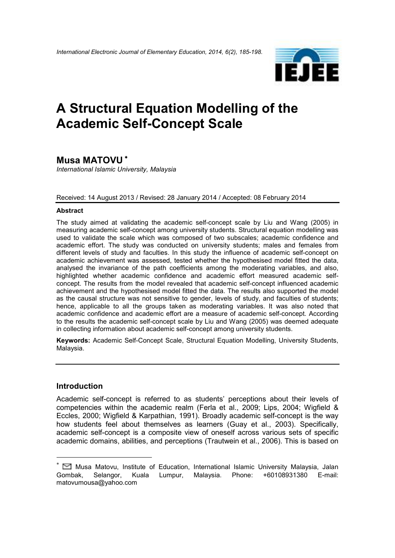

# **A Structural Equation Modelling of the Academic Self-Concept Scale**

## **Musa MATOVU** <sup>∗</sup>

*International Islamic University, Malaysia* 

#### Received: 14 August 2013 / Revised: 28 January 2014 / Accepted: 08 February 2014

#### **Abstract**

The study aimed at validating the academic self-concept scale by Liu and Wang (2005) in measuring academic self-concept among university students. Structural equation modelling was used to validate the scale which was composed of two subscales; academic confidence and academic effort. The study was conducted on university students; males and females from different levels of study and faculties. In this study the influence of academic self-concept on academic achievement was assessed, tested whether the hypothesised model fitted the data, analysed the invariance of the path coefficients among the moderating variables, and also, highlighted whether academic confidence and academic effort measured academic selfconcept. The results from the model revealed that academic self-concept influenced academic achievement and the hypothesised model fitted the data. The results also supported the model as the causal structure was not sensitive to gender, levels of study, and faculties of students; hence, applicable to all the groups taken as moderating variables. It was also noted that academic confidence and academic effort are a measure of academic self-concept. According to the results the academic self-concept scale by Liu and Wang (2005) was deemed adequate in collecting information about academic self-concept among university students.

**Keywords:** Academic Self-Concept Scale, Structural Equation Modelling, University Students, Malaysia.

#### **Introduction**

<u>.</u>

Academic self-concept is referred to as students' perceptions about their levels of competencies within the academic realm (Ferla et al., 2009; Lips, 2004; Wigfield & Eccles, 2000; Wigfield & Karpathian, 1991). Broadly academic self-concept is the way how students feel about themselves as learners (Guay et al., 2003). Specifically, academic self-concept is a composite view of oneself across various sets of specific academic domains, abilities, and perceptions (Trautwein et al., 2006). This is based on

<sup>■</sup> Musa Matovu, Institute of Education, International Islamic University Malaysia, Jalan Gombak, Selangor, Kuala Lumpur, Malaysia. Phone: +60108931380 E-mail: matovumousa@yahoo.com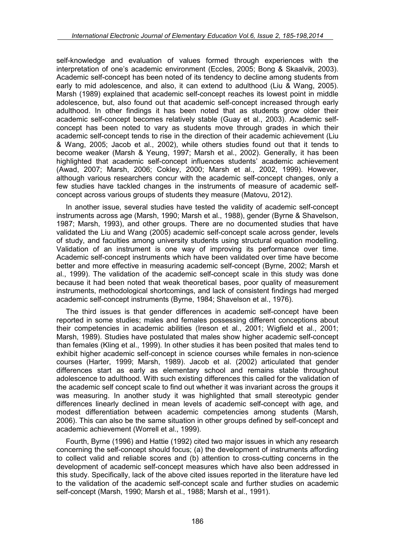self-knowledge and evaluation of values formed through experiences with the interpretation of one's academic environment (Eccles, 2005; Bong & Skaalvik, 2003). Academic self-concept has been noted of its tendency to decline among students from early to mid adolescence, and also, it can extend to adulthood (Liu & Wang, 2005). Marsh (1989) explained that academic self-concept reaches its lowest point in middle adolescence, but, also found out that academic self-concept increased through early adulthood. In other findings it has been noted that as students grow older their academic self-concept becomes relatively stable (Guay et al., 2003). Academic selfconcept has been noted to vary as students move through grades in which their academic self-concept tends to rise in the direction of their academic achievement (Liu & Wang, 2005; Jacob et al., 2002), while others studies found out that it tends to become weaker (Marsh & Yeung, 1997; Marsh et al., 2002). Generally, it has been highlighted that academic self-concept influences students' academic achievement (Awad, 2007; Marsh, 2006; Cokley, 2000; Marsh et al., 2002, 1999). However, although various researchers concur with the academic self-concept changes, only a few studies have tackled changes in the instruments of measure of academic selfconcept across various groups of students they measure (Matovu, 2012).

In another issue, several studies have tested the validity of academic self-concept instruments across age (Marsh, 1990; Marsh et al., 1988), gender (Byrne & Shavelson, 1987; Marsh, 1993), and other groups. There are no documented studies that have validated the Liu and Wang (2005) academic self-concept scale across gender, levels of study, and faculties among university students using structural equation modelling. Validation of an instrument is one way of improving its performance over time. Academic self-concept instruments which have been validated over time have become better and more effective in measuring academic self-concept (Byrne, 2002; Marsh et al., 1999). The validation of the academic self-concept scale in this study was done because it had been noted that weak theoretical bases, poor quality of measurement instruments, methodological shortcomings, and lack of consistent findings had merged academic self-concept instruments (Byrne, 1984; Shavelson et al., 1976).

The third issues is that gender differences in academic self-concept have been reported in some studies; males and females possessing different conceptions about their competencies in academic abilities (Ireson et al., 2001; Wigfield et al., 2001; Marsh, 1989). Studies have postulated that males show higher academic self-concept than females (Kling et al., 1999). In other studies it has been posited that males tend to exhibit higher academic self-concept in science courses while females in non-science courses (Harter, 1999; Marsh, 1989). Jacob et al. (2002) articulated that gender differences start as early as elementary school and remains stable throughout adolescence to adulthood. With such existing differences this called for the validation of the academic self concept scale to find out whether it was invariant across the groups it was measuring. In another study it was highlighted that small stereotypic gender differences linearly declined in mean levels of academic self-concept with age, and modest differentiation between academic competencies among students (Marsh, 2006). This can also be the same situation in other groups defined by self-concept and academic achievement (Worrell et al., 1999).

Fourth, Byrne (1996) and Hattie (1992) cited two major issues in which any research concerning the self-concept should focus; (a) the development of instruments affording to collect valid and reliable scores and (b) attention to cross-cutting concerns in the development of academic self-concept measures which have also been addressed in this study. Specifically, lack of the above cited issues reported in the literature have led to the validation of the academic self-concept scale and further studies on academic self-concept (Marsh, 1990; Marsh et al., 1988; Marsh et al., 1991).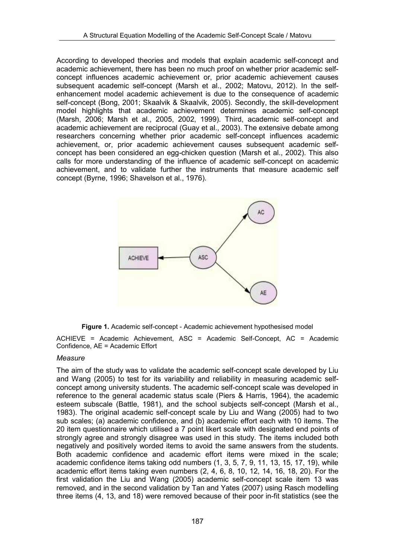According to developed theories and models that explain academic self-concept and academic achievement, there has been no much proof on whether prior academic selfconcept influences academic achievement or, prior academic achievement causes subsequent academic self-concept (Marsh et al., 2002; Matovu, 2012). In the selfenhancement model academic achievement is due to the consequence of academic self-concept (Bong, 2001; Skaalvik & Skaalvik, 2005). Secondly, the skill-development model highlights that academic achievement determines academic self-concept (Marsh, 2006; Marsh et al., 2005, 2002, 1999). Third, academic self-concept and academic achievement are reciprocal (Guay et al., 2003). The extensive debate among researchers concerning whether prior academic self-concept influences academic achievement, or, prior academic achievement causes subsequent academic selfconcept has been considered an egg-chicken question (Marsh et al., 2002). This also calls for more understanding of the influence of academic self-concept on academic achievement, and to validate further the instruments that measure academic self concept (Byrne, 1996; Shavelson et al., 1976).



**Figure 1.** Academic self-concept - Academic achievement hypothesised model

ACHIEVE = Academic Achievement, ASC = Academic Self-Concept, AC = Academic Confidence, AE = Academic Effort

#### *Measure*

The aim of the study was to validate the academic self-concept scale developed by Liu and Wang (2005) to test for its variability and reliability in measuring academic selfconcept among university students. The academic self-concept scale was developed in reference to the general academic status scale (Piers & Harris, 1964), the academic esteem subscale (Battle, 1981), and the school subjects self-concept (Marsh et al., 1983). The original academic self-concept scale by Liu and Wang (2005) had to two sub scales; (a) academic confidence, and (b) academic effort each with 10 items. The 20 item questionnaire which utilised a 7 point likert scale with designated end points of strongly agree and strongly disagree was used in this study. The items included both negatively and positively worded items to avoid the same answers from the students. Both academic confidence and academic effort items were mixed in the scale; academic confidence items taking odd numbers (1, 3, 5, 7, 9, 11, 13, 15, 17, 19), while academic effort items taking even numbers (2, 4, 6, 8, 10, 12, 14, 16, 18, 20). For the first validation the Liu and Wang (2005) academic self-concept scale item 13 was removed, and in the second validation by Tan and Yates (2007) using Rasch modelling three items (4, 13, and 18) were removed because of their poor in-fit statistics (see the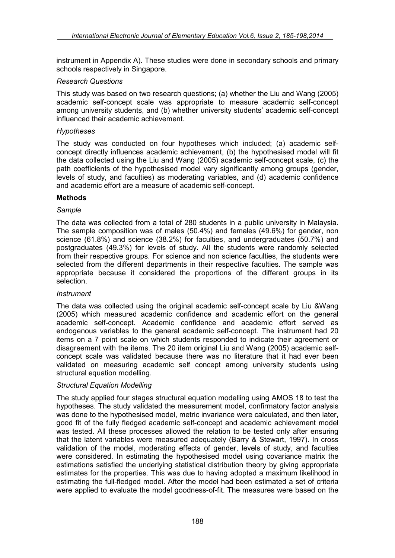instrument in Appendix A). These studies were done in secondary schools and primary schools respectively in Singapore.

#### *Research Questions*

This study was based on two research questions; (a) whether the Liu and Wang (2005) academic self-concept scale was appropriate to measure academic self-concept among university students, and (b) whether university students' academic self-concept influenced their academic achievement.

#### *Hypotheses*

The study was conducted on four hypotheses which included; (a) academic selfconcept directly influences academic achievement, (b) the hypothesised model will fit the data collected using the Liu and Wang (2005) academic self-concept scale, (c) the path coefficients of the hypothesised model vary significantly among groups (gender, levels of study, and faculties) as moderating variables, and (d) academic confidence and academic effort are a measure of academic self-concept.

#### **Methods**

#### *Sample*

The data was collected from a total of 280 students in a public university in Malaysia. The sample composition was of males (50.4%) and females (49.6%) for gender, non science (61.8%) and science (38.2%) for faculties, and undergraduates (50.7%) and postgraduates (49.3%) for levels of study. All the students were randomly selected from their respective groups. For science and non science faculties, the students were selected from the different departments in their respective faculties. The sample was appropriate because it considered the proportions of the different groups in its selection.

## *Instrument*

The data was collected using the original academic self-concept scale by Liu &Wang (2005) which measured academic confidence and academic effort on the general academic self-concept. Academic confidence and academic effort served as endogenous variables to the general academic self-concept. The instrument had 20 items on a 7 point scale on which students responded to indicate their agreement or disagreement with the items. The 20 item original Liu and Wang (2005) academic selfconcept scale was validated because there was no literature that it had ever been validated on measuring academic self concept among university students using structural equation modelling.

#### *Structural Equation Modelling*

The study applied four stages structural equation modelling using AMOS 18 to test the hypotheses. The study validated the measurement model, confirmatory factor analysis was done to the hypothesised model, metric invariance were calculated, and then later, good fit of the fully fledged academic self-concept and academic achievement model was tested. All these processes allowed the relation to be tested only after ensuring that the latent variables were measured adequately (Barry & Stewart, 1997). In cross validation of the model, moderating effects of gender, levels of study, and faculties were considered. In estimating the hypothesised model using covariance matrix the estimations satisfied the underlying statistical distribution theory by giving appropriate estimates for the properties. This was due to having adopted a maximum likelihood in estimating the full-fledged model. After the model had been estimated a set of criteria were applied to evaluate the model goodness-of-fit. The measures were based on the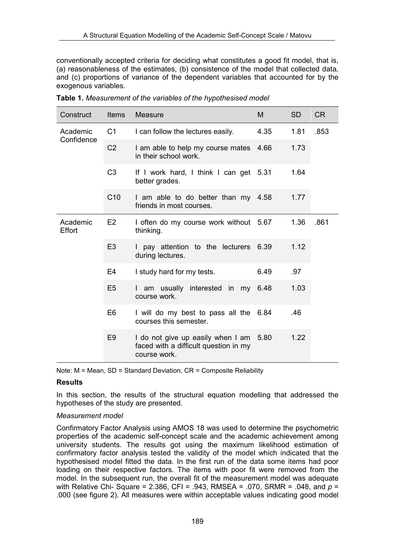conventionally accepted criteria for deciding what constitutes a good fit model, that is, (a) reasonableness of the estimates, (b) consistence of the model that collected data, and (c) proportions of variance of the dependent variables that accounted for by the exogenous variables.

| Construct                 | <b>Items</b>    | Measure                                                                                    | M    | <b>SD</b> | <b>CR</b> |  |
|---------------------------|-----------------|--------------------------------------------------------------------------------------------|------|-----------|-----------|--|
| Academic<br>Confidence    | C <sub>1</sub>  | I can follow the lectures easily.                                                          | 4.35 | 1.81      | .853      |  |
|                           | C <sub>2</sub>  | I am able to help my course mates<br>in their school work.                                 | 4.66 | 1.73      |           |  |
|                           | C <sub>3</sub>  | If I work hard, I think I can get 5.31<br>better grades.                                   |      | 1.64      |           |  |
|                           | C <sub>10</sub> | I am able to do better than my 4.58<br>friends in most courses.                            |      | 1.77      |           |  |
| Academic<br><b>Effort</b> | E <sub>2</sub>  | I often do my course work without 5.67<br>thinking.                                        |      | 1.36      | .861      |  |
|                           | E <sub>3</sub>  | I pay attention to the lecturers 6.39<br>during lectures.                                  |      | 1.12      |           |  |
|                           | E4              | I study hard for my tests.                                                                 | 6.49 | .97       |           |  |
|                           | E5              | am usually interested in my 6.48<br>course work.                                           |      | 1.03      |           |  |
|                           | E <sub>6</sub>  | I will do my best to pass all the 6.84<br>courses this semester.                           |      | .46       |           |  |
|                           | E <sub>9</sub>  | I do not give up easily when I am<br>faced with a difficult question in my<br>course work. | 5.80 | 1.22      |           |  |

**Table 1.** *Measurement of the variables of the hypothesised model*

Note: M = Mean, SD = Standard Deviation, CR = Composite Reliability

## **Results**

In this section, the results of the structural equation modelling that addressed the hypotheses of the study are presented.

## *Measurement model*

Confirmatory Factor Analysis using AMOS 18 was used to determine the psychometric properties of the academic self-concept scale and the academic achievement among university students. The results got using the maximum likelihood estimation of confirmatory factor analysis tested the validity of the model which indicated that the hypothesised model fitted the data. In the first run of the data some items had poor loading on their respective factors. The items with poor fit were removed from the model. In the subsequent run, the overall fit of the measurement model was adequate with Relative Chi- Square = 2.386, CFI = .943, RMSEA = .070, SRMR = .048, and *p* = .000 (see figure 2). All measures were within acceptable values indicating good model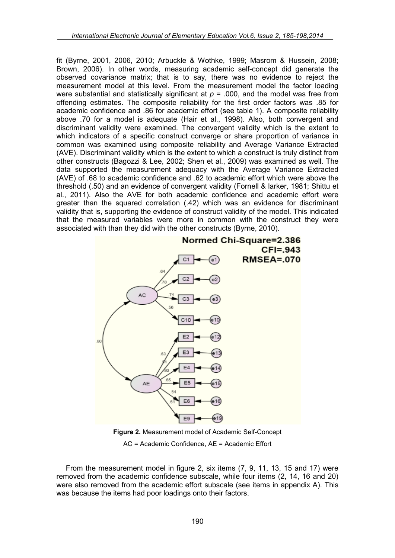fit (Byrne, 2001, 2006, 2010; Arbuckle & Wothke, 1999; Masrom & Hussein, 2008; Brown, 2006). In other words, measuring academic self-concept did generate the observed covariance matrix; that is to say, there was no evidence to reject the measurement model at this level. From the measurement model the factor loading were substantial and statistically significant at  $p = 0.00$ , and the model was free from offending estimates. The composite reliability for the first order factors was .85 for academic confidence and .86 for academic effort (see table 1). A composite reliability above .70 for a model is adequate (Hair et al., 1998). Also, both convergent and discriminant validity were examined. The convergent validity which is the extent to which indicators of a specific construct converge or share proportion of variance in common was examined using composite reliability and Average Variance Extracted (AVE). Discriminant validity which is the extent to which a construct is truly distinct from other constructs (Bagozzi & Lee, 2002; Shen et al., 2009) was examined as well. The data supported the measurement adequacy with the Average Variance Extracted (AVE) of .68 to academic confidence and .62 to academic effort which were above the threshold (.50) and an evidence of convergent validity (Fornell & larker, 1981; Shittu et al., 2011). Also the AVE for both academic confidence and academic effort were greater than the squared correlation (.42) which was an evidence for discriminant validity that is, supporting the evidence of construct validity of the model. This indicated that the measured variables were more in common with the construct they were associated with than they did with the other constructs (Byrne, 2010).



**Figure 2.** Measurement model of Academic Self-Concept AC = Academic Confidence, AE = Academic Effort

From the measurement model in figure 2, six items (7, 9, 11, 13, 15 and 17) were removed from the academic confidence subscale, while four items (2, 14, 16 and 20) were also removed from the academic effort subscale (see items in appendix A). This was because the items had poor loadings onto their factors.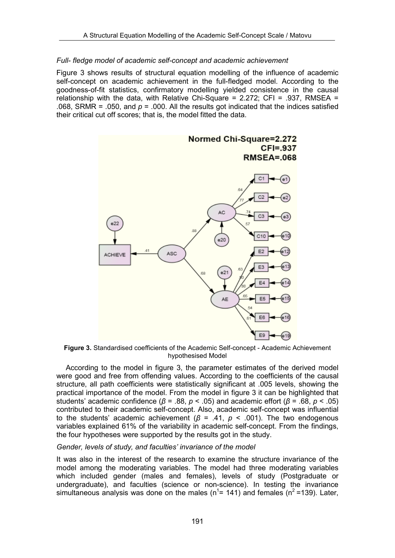## *Full- fledge model of academic self-concept and academic achievement*

Figure 3 shows results of structural equation modelling of the influence of academic self-concept on academic achievement in the full-fledged model. According to the goodness-of-fit statistics, confirmatory modelling yielded consistence in the causal relationship with the data, with Relative Chi-Square =  $2.272$ ; CFI = .937, RMSEA = .068, SRMR = .050, and  $p = 0.000$ . All the results got indicated that the indices satisfied their critical cut off scores; that is, the model fitted the data.



**Figure 3.** Standardised coefficients of the Academic Self-concept - Academic Achievement hypothesised Model

According to the model in figure 3, the parameter estimates of the derived model were good and free from offending values. According to the coefficients of the causal structure, all path coefficients were statistically significant at .005 levels, showing the practical importance of the model. From the model in figure 3 it can be highlighted that students' academic confidence (*β* = .88, *p* < .05) and academic effort (*β* = .68, *p* < .05) contributed to their academic self-concept. Also, academic self-concept was influential to the students' academic achievement ( $\beta$  = .41,  $p$  < .001). The two endogenous variables explained 61% of the variability in academic self-concept. From the findings, the four hypotheses were supported by the results got in the study.

#### *Gender, levels of study, and faculties' invariance of the model*

It was also in the interest of the research to examine the structure invariance of the model among the moderating variables. The model had three moderating variables which included gender (males and females), levels of study (Postgraduate or undergraduate), and faculties (science or non-science). In testing the invariance simultaneous analysis was done on the males ( $n^1$  = 141) and females ( $n^2$  = 139). Later,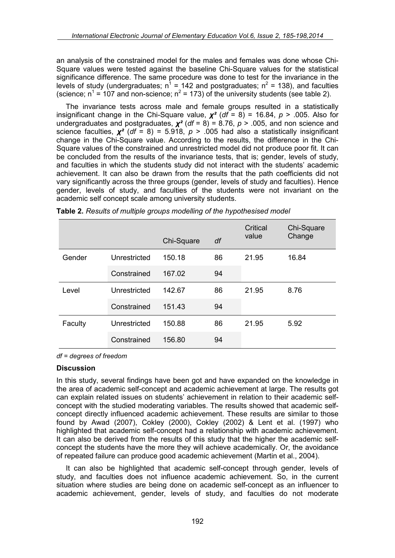an analysis of the constrained model for the males and females was done whose Chi-Square values were tested against the baseline Chi-Square values for the statistical significance difference. The same procedure was done to test for the invariance in the levels of study (undergraduates;  $n^1$  = 142 and postgraduates;  $n^2$  = 138), and faculties (science;  $n^1$  = 107 and non-science;  $n^2$  = 173) of the university students (see table 2).

The invariance tests across male and female groups resulted in a statistically insignificant change in the Chi-Square value,  $\chi^2$  (*df* = 8) = 16.84, *p* > .005. Also for undergraduates and postgraduates, *χ²* (*df* = 8) = 8.76, *p* > .005, and non science and science faculties,  $\chi^2$  (*df* = 8) = 5.918,  $p > .005$  had also a statistically insignificant change in the Chi-Square value. According to the results, the difference in the Chi-Square values of the constrained and unrestricted model did not produce poor fit. It can be concluded from the results of the invariance tests, that is; gender, levels of study, and faculties in which the students study did not interact with the students' academic achievement. It can also be drawn from the results that the path coefficients did not vary significantly across the three groups (gender, levels of study and faculties). Hence gender, levels of study, and faculties of the students were not invariant on the academic self concept scale among university students.

|         |              | Chi-Square | df | Critical<br>value | Chi-Square<br>Change |  |
|---------|--------------|------------|----|-------------------|----------------------|--|
| Gender  | Unrestricted | 150.18     | 86 | 21.95             | 16.84                |  |
|         | Constrained  | 167.02     | 94 |                   |                      |  |
| Level   | Unrestricted | 142.67     | 86 | 21.95             | 8.76                 |  |
|         | Constrained  | 151.43     | 94 |                   |                      |  |
| Faculty | Unrestricted | 150.88     | 86 | 21.95             | 5.92                 |  |
|         | Constrained  | 156.80     | 94 |                   |                      |  |

**Table 2.** *Results of multiple groups modelling of the hypothesised model*

*df = degrees of freedom* 

## **Discussion**

In this study, several findings have been got and have expanded on the knowledge in the area of academic self-concept and academic achievement at large. The results got can explain related issues on students' achievement in relation to their academic selfconcept with the studied moderating variables. The results showed that academic selfconcept directly influenced academic achievement. These results are similar to those found by Awad (2007), Cokley (2000), Cokley (2002) & Lent et al. (1997) who highlighted that academic self-concept had a relationship with academic achievement. It can also be derived from the results of this study that the higher the academic selfconcept the students have the more they will achieve academically. Or, the avoidance of repeated failure can produce good academic achievement (Martin et al., 2004).

It can also be highlighted that academic self-concept through gender, levels of study, and faculties does not influence academic achievement. So, in the current situation where studies are being done on academic self-concept as an influencer to academic achievement, gender, levels of study, and faculties do not moderate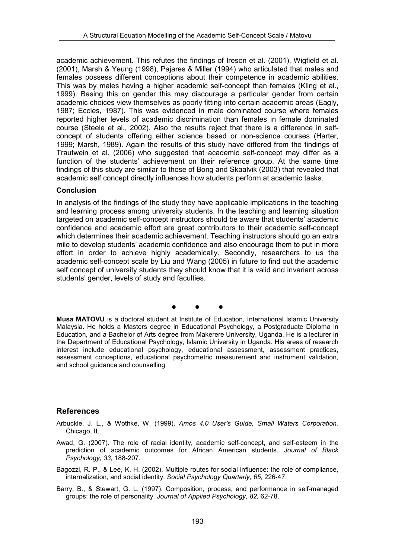academic achievement. This refutes the findings of Ireson et al. (2001), Wigfield et al. (2001), Marsh & Yeung (1998), Pajares & Miller (1994) who articulated that males and females possess different conceptions about their competence in academic abilities. This was by males having a higher academic self-concept than females (Kling et al., 1999). Basing this on gender this may discourage a particular gender from certain academic choices view themselves as poorly fitting into certain academic areas (Eagly, 1987; Eccles, 1987). This was evidenced in male dominated course where females reported higher levels of academic discrimination than females in female dominated course (Steele et al., 2002). Also the results reject that there is a difference in selfconcept of students offering either science based or non-science courses (Harter, 1999; Marsh, 1989). Again the results of this study have differed from the findings of Trautwein et al. (2006) who suggested that academic self-concept may differ as a function of the students' achievement on their reference group. At the same time findings of this study are similar to those of Bong and Skaalvik (2003) that revealed that academic self concept directly influences how students perform at academic tasks.

#### **Conclusion**

In analysis of the findings of the study they have applicable implications in the teaching and learning process among university students. In the teaching and learning situation targeted on academic self-concept instructors should be aware that students' academic confidence and academic effort are great contributors to their academic self-concept which determines their academic achievement. Teaching instructors should go an extra mile to develop students' academic confidence and also encourage them to put in more effort in order to achieve highly academically. Secondly, researchers to us the academic self-concept scale by Liu and Wang (2005) in future to find out the academic self concept of university students they should know that it is valid and invariant across students' gender, levels of study and faculties.

• • •

**Musa MATOVU** is a doctoral student at Institute of Education, International Islamic University Malaysia. He holds a Masters degree in Educational Psychology, a Postgraduate Diploma in Education, and a Bachelor of Arts degree from Makerere University, Uganda. He is a lecturer in the Department of Educational Psychology, Islamic University in Uganda. His areas of research interest include educational psychology, educational assessment, assessment practices, assessment conceptions, educational psychometric measurement and instrument validation, and school guidance and counselling.

## **References**

- Arbuckle, J. L., & Wothke, W. (1999). *Amos 4.0 User's Guide, Small Waters Corporation.* Chicago, IL.
- Awad, G. (2007). The role of racial identity, academic self-concept, and self-esteem in the prediction of academic outcomes for African American students. *Journal of Black Psychology, 33*, 188-207.
- Bagozzi, R. P., & Lee, K. H. (2002). Multiple routes for social influence: the role of compliance, internalization, and social identity. *Social Psychology Quarterly, 65*, 226-47.
- Barry, B., & Stewart, G. L. (1997). Composition, process, and performance in self-managed groups: the role of personality. *Journal of Applied Psychology, 82,* 62-78.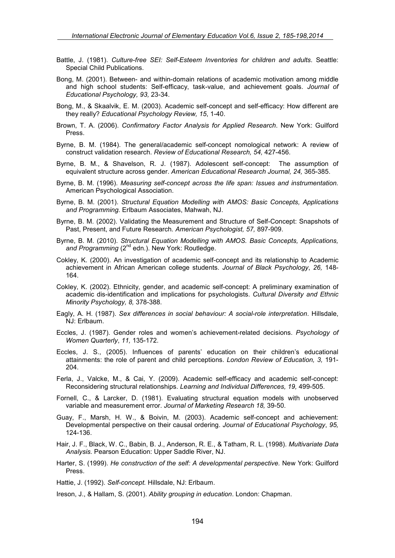- Battle, J. (1981). *Culture-free SEI: Self-Esteem Inventories for children and adults*. Seattle: Special Child Publications.
- Bong, M. (2001). Between- and within-domain relations of academic motivation among middle and high school students: Self-efficacy, task-value, and achievement goals. *Journal of Educational Psychology, 93,* 23-34.
- Bong, M., & Skaalvik, E. M. (2003). Academic self-concept and self-efficacy: How different are they really? *Educational Psychology Review, 15*, 1-40.
- Brown, T. A. (2006). *Confirmatory Factor Analysis for Applied Research*. New York: Guilford Press.
- Byrne, B. M. (1984). The general/academic self-concept nomological network: A review of construct validation research. *Review of Educational Research, 54,* 427-456.
- Byrne, B. M., & Shavelson, R. J. (1987). Adolescent self-concept: The assumption of equivalent structure across gender. *American Educational Research Journal, 24,* 365-385.
- Byrne, B. M. (1996). *Measuring self-concept across the life span: Issues and instrumentation.* American Psychological Association.
- Byrne, B. M. (2001). *Structural Equation Modelling with AMOS: Basic Concepts, Applications and Programming.* Erlbaum Associates, Mahwah, NJ.
- Byrne, B. M. (2002). Validating the Measurement and Structure of Self-Concept: Snapshots of Past, Present, and Future Research. *American Psychologist, 57,* 897-909.
- Byrne, B. M. (2010). *Structural Equation Modelling with AMOS. Basic Concepts, Applications,*  and Programming (2<sup>nd</sup> edn.). New York: Routledge.
- Cokley, K. (2000). An investigation of academic self-concept and its relationship to Academic achievement in African American college students. *Journal of Black Psychology*, *26,* 148- 164.
- Cokley, K. (2002). Ethnicity, gender, and academic self-concept: A preliminary examination of academic dis-identification and implications for psychologists. *Cultural Diversity and Ethnic Minority Psychology, 8,* 378-388.
- Eagly, A. H. (1987). *Sex differences in social behaviour: A social-role interpretation*. Hillsdale, NJ: Erlbaum.
- Eccles, J. (1987). Gender roles and women's achievement-related decisions. *Psychology of Women Quarterly*, *11,* 135-172.
- Eccles, J. S., (2005). Influences of parents' education on their children's educational attainments: the role of parent and child perceptions. *London Review of Education, 3,* 191- 204.
- Ferla, J., Valcke, M., & Cai, Y. (2009). Academic self-efficacy and academic self-concept: Reconsidering structural relationships. *Learning and Individual Differences, 19,* 499-505.
- Fornell, C., & Larcker, D. (1981). Evaluating structural equation models with unobserved variable and measurement error. *Journal of Marketing Research 18,* 39-50.
- Guay, F., Marsh, H. W., & Boivin, M. (2003). Academic self-concept and achievement: Developmental perspective on their causal ordering. *Journal of Educational Psychology*, *95,* 124-136.
- Hair, J. F., Black, W. C., Babin, B. J., Anderson, R. E., & Tatham, R. L. (1998). *Multivariate Data Analysis.* Pearson Education: Upper Saddle River, NJ.
- Harter, S. (1999). *He construction of the self: A developmental perspective.* New York: Guilford Press.
- Hattie, J. (1992). *Self-concept.* Hillsdale, NJ: Erlbaum.
- Ireson, J., & Hallam, S. (2001). *Ability grouping in education*. London: Chapman.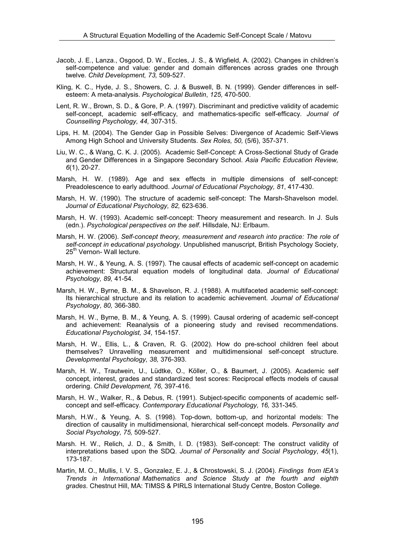- Jacob, J. E., Lanza., Osgood, D. W., Eccles, J. S., & Wigfield, A. (2002). Changes in children's self-competence and value: gender and domain differences across grades one through twelve. *Child Development, 73,* 509-527.
- Kling, K. C., Hyde, J. S., Showers, C. J. & Buswell, B. N. (1999). Gender differences in selfesteem: A meta-analysis. *Psychological Bulletin*, *125,* 470-500.
- Lent, R. W., Brown, S. D., & Gore, P. A. (1997). Discriminant and predictive validity of academic self-concept, academic self-efficacy, and mathematics-specific self-efficacy. *Journal of Counselling Psychology, 44,* 307-315.
- Lips, H. M. (2004). The Gender Gap in Possible Selves: Divergence of Academic Self-Views Among High School and University Students. *Sex Roles, 50,* (5/6), 357-371.
- Liu, W. C., & Wang, C. K. J. (2005). Academic Self-Concept: A Cross-Sectional Study of Grade and Gender Differences in a Singapore Secondary School. *Asia Pacific Education Review, 6*(1), 20-27.
- Marsh, H. W. (1989). Age and sex effects in multiple dimensions of self-concept: Preadolescence to early adulthood. *Journal of Educational Psychology, 81*, 417-430.
- Marsh, H. W. (1990). The structure of academic self-concept: The Marsh-Shavelson model. *Journal of Educational Psychology, 82,* 623-636.
- Marsh, H. W. (1993). Academic self-concept: Theory measurement and research. In J. Suls (edn.). *Psychological perspectives on the self*. Hillsdale, NJ: Erlbaum.
- Marsh, H. W. (2006). *Self-concept theory, measurement and research into practice: The role of self-concept in educational psychology*. Unpublished manuscript, British Psychology Society, 25<sup>th</sup> Vernon- Wall lecture.
- Marsh, H. W., & Yeung, A. S. (1997). The causal effects of academic self-concept on academic achievement: Structural equation models of longitudinal data. *Journal of Educational Psychology, 89,* 41-54.
- Marsh, H. W., Byrne, B. M., & Shavelson, R. J. (1988). A multifaceted academic self-concept: Its hierarchical structure and its relation to academic achievement. *Journal of Educational Psychology*, *80,* 366-380.
- Marsh, H. W., Byrne, B. M., & Yeung, A. S. (1999). Causal ordering of academic self-concept and achievement: Reanalysis of a pioneering study and revised recommendations. *Educational Psychologist, 34*, 154-157.
- Marsh, H. W., Ellis, L., & Craven, R. G. (2002). How do pre-school children feel about themselves? Unravelling measurement and multidimensional self-concept structure. *Developmental Psychology, 38,* 376-393.
- Marsh, H. W., Trautwein, U., Lüdtke, O., Köller, O., & Baumert, J. (2005). Academic self concept, interest, grades and standardized test scores: Reciprocal effects models of causal ordering. *Child Development, 76,* 397-416.
- Marsh, H. W., Walker, R., & Debus, R. (1991). Subject-specific components of academic selfconcept and self-efficacy. *Contemporary Educational Psychology, 16,* 331-345.
- Marsh, H.W., & Yeung, A. S. (1998). Top-down, bottom-up, and horizontal models: The direction of causality in multidimensional, hierarchical self-concept models. *Personality and Social Psychology, 75,* 509-527.
- Marsh. H. W., Relich, J. D., & Smith, I. D. (1983). Self-concept: The construct validity of interpretations based upon the SDQ. *Journal of Personality and Social Psychology*, *45*(1), 173-187.
- Martin, M. O., Mullis, I. V. S., Gonzalez, E. J., & Chrostowski, S. J. (2004). *Findings from IEA's Trends in International Mathematics and Science Study at the fourth and eighth grades*. Chestnut Hill, MA: TIMSS & PIRLS International Study Centre, Boston College.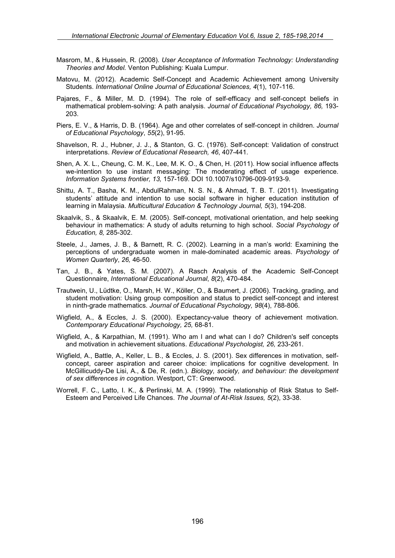- Masrom, M., & Hussein, R. (2008). *User Acceptance of Information Technology: Understanding Theories and Model.* Venton Publishing: Kuala Lumpur.
- Matovu, M. (2012). Academic Self-Concept and Academic Achievement among University Students. *International Online Journal of Educational Sciences, 4*(1), 107-116.
- Pajares, F., & Miller, M. D. (1994). The role of self-efficacy and self-concept beliefs in mathematical problem-solving: A path analysis. *Journal of Educational Psychology, 86,* 193- 203.
- Piers, E. V., & Harris, D. B. (1964). Age and other correlates of self-concept in children. *Journal of Educational Psychology*, *55*(2), 91-95.
- Shavelson, R. J., Hubner, J. J., & Stanton, G. C. (1976). Self-concept: Validation of construct interpretations. *Review of Educational Research, 46*, 407-441.
- Shen, A. X. L., Cheung, C. M. K., Lee, M. K. O., & Chen, H. (2011). How social influence affects we-intention to use instant messaging: The moderating effect of usage experience. *Information Systems frontier, 13,* 157-169. DOI 10.1007/s10796-009-9193-9.
- Shittu, A. T., Basha, K. M., AbdulRahman, N. S. N., & Ahmad, T. B. T. (2011). Investigating students' attitude and intention to use social software in higher education institution of learning in Malaysia. *Multicultural Education & Technology Journal, 5*(3), 194-208.
- Skaalvik, S., & Skaalvik, E. M. (2005). Self-concept, motivational orientation, and help seeking behaviour in mathematics: A study of adults returning to high school. *Social Psychology of Education, 8,* 285-302.
- Steele, J., James, J. B., & Barnett, R. C. (2002). Learning in a man's world: Examining the perceptions of undergraduate women in male-dominated academic areas. *Psychology of Women Quarterly*, *26,* 46-50.
- Tan, J. B., & Yates, S. M. (2007). A Rasch Analysis of the Academic Self-Concept Questionnaire, *International Educational Journal*, *8*(2), 470-484.
- Trautwein, U., Lüdtke, O., Marsh, H. W., Köller, O., & Baumert, J. (2006). Tracking, grading, and student motivation: Using group composition and status to predict self-concept and interest in ninth-grade mathematics. *Journal of Educational Psychology, 98*(4), 788-806.
- Wigfield, A., & Eccles, J. S. (2000). Expectancy-value theory of achievement motivation. *Contemporary Educational Psychology, 25,* 68-81.
- Wigfield, A., & Karpathian, M. (1991). Who am I and what can I do? Children's self concepts and motivation in achievement situations. *Educational Psychologist, 26,* 233-261.
- Wigfield, A., Battle, A., Keller, L. B., & Eccles, J. S. (2001). Sex differences in motivation, selfconcept, career aspiration and career choice: implications for cognitive development. In McGillicuddy-De Lisi, A., & De, R. (edn.). *Biology, society, and behaviour: the development of sex differences in cognition*. Westport, CT: Greenwood.
- Worrell, F. C., Latto, I. K., & Perlinski, M. A. (1999). The relationship of Risk Status to Self-Esteem and Perceived Life Chances. *The Journal of At-Risk Issues, 5*(2), 33-38.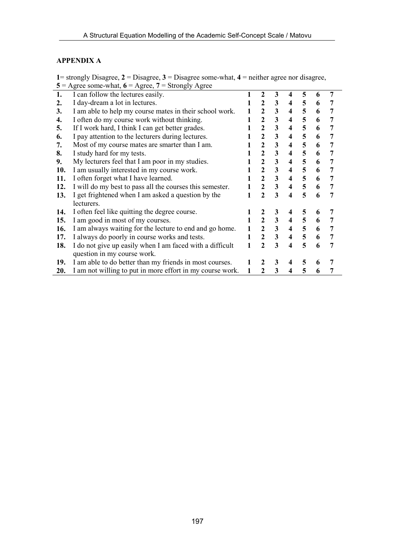## **APPENDIX A**

**1**= strongly Disagree, **2** = Disagree, **3** = Disagree some-what, **4** = neither agree nor disagree,  $5 = \text{Agree}$  some-what,  $6 = \text{Agree}$ ,  $7 = \text{Strongly Age}$ 

|     | $\frac{1}{2}$ $\frac{1}{2}$ $\frac{1}{2}$ $\frac{1}{2}$ $\frac{1}{2}$ $\frac{1}{2}$ $\frac{1}{2}$ $\frac{1}{2}$ $\frac{1}{2}$ $\frac{1}{2}$ $\frac{1}{2}$ $\frac{1}{2}$ $\frac{1}{2}$ $\frac{1}{2}$ $\frac{1}{2}$ $\frac{1}{2}$ $\frac{1}{2}$ $\frac{1}{2}$ $\frac{1}{2}$ $\frac{1}{2}$ $\frac{1}{2}$ $\frac{1}{2}$ |   |                |                         |                         |                |   |                |  |
|-----|---------------------------------------------------------------------------------------------------------------------------------------------------------------------------------------------------------------------------------------------------------------------------------------------------------------------|---|----------------|-------------------------|-------------------------|----------------|---|----------------|--|
| 1.  | I can follow the lectures easily.                                                                                                                                                                                                                                                                                   |   | $\mathbf{2}$   | 3                       | 4                       | 5              | 6 | 7              |  |
| 2.  | I day-dream a lot in lectures.                                                                                                                                                                                                                                                                                      |   | $\mathbf{2}$   | 3                       | $\overline{\mathbf{4}}$ | 5              | 6 | 7              |  |
| 3.  | I am able to help my course mates in their school work.                                                                                                                                                                                                                                                             |   | $\mathbf{2}$   | 3                       | $\overline{\mathbf{4}}$ | 5              | 6 | 7              |  |
| 4.  | I often do my course work without thinking.                                                                                                                                                                                                                                                                         |   | $\overline{2}$ | 3                       | $\overline{\mathbf{4}}$ | 5              | 6 | 7              |  |
| 5.  | If I work hard, I think I can get better grades.                                                                                                                                                                                                                                                                    |   |                | 3                       | $\overline{\mathbf{4}}$ | 5              | 6 | 7              |  |
| 6.  | I pay attention to the lecturers during lectures.                                                                                                                                                                                                                                                                   |   |                | 3                       | $\overline{\mathbf{4}}$ | 5              | 6 | 7              |  |
| 7.  | Most of my course mates are smarter than I am.                                                                                                                                                                                                                                                                      |   |                | $\mathbf{3}$            | $\overline{\mathbf{4}}$ | 5              | 6 | $\overline{7}$ |  |
| 8.  | I study hard for my tests.                                                                                                                                                                                                                                                                                          |   |                | 3                       | $\overline{\mathbf{4}}$ | 5              | 6 | 7              |  |
| 9.  | My lecturers feel that I am poor in my studies.                                                                                                                                                                                                                                                                     |   | $\mathbf{2}$   | $\mathbf{3}$            | 4                       | 5              | 6 | 7              |  |
| 10. | I am usually interested in my course work.                                                                                                                                                                                                                                                                          |   | $\overline{2}$ | $\mathbf{3}$            | $\overline{\mathbf{4}}$ | 5              | 6 | $\overline{7}$ |  |
| 11. | I often forget what I have learned.                                                                                                                                                                                                                                                                                 |   | $\overline{2}$ | $\mathbf{3}$            | $\overline{\mathbf{4}}$ | 5              | 6 | 7              |  |
| 12. | I will do my best to pass all the courses this semester.                                                                                                                                                                                                                                                            |   | $\overline{2}$ | $\overline{\mathbf{3}}$ | $\overline{\mathbf{4}}$ | 5              | 6 | 7              |  |
| 13. | I get frightened when I am asked a question by the                                                                                                                                                                                                                                                                  |   | $\overline{2}$ | $\overline{\mathbf{3}}$ | $\boldsymbol{4}$        | 5              | 6 | 7              |  |
|     | lecturers.                                                                                                                                                                                                                                                                                                          |   |                |                         |                         |                |   |                |  |
| 14. | I often feel like quitting the degree course.                                                                                                                                                                                                                                                                       |   | 2              | 3                       | 4                       | 5              | 6 | 7              |  |
| 15. | I am good in most of my courses.                                                                                                                                                                                                                                                                                    | 1 | $\mathbf{2}$   | $\mathbf{3}$            | $\overline{\mathbf{4}}$ | 5              | 6 | 7              |  |
| 16. | I am always waiting for the lecture to end and go home.                                                                                                                                                                                                                                                             |   | $\overline{2}$ | $\mathbf{3}$            | $\overline{\mathbf{4}}$ | 5 <sup>5</sup> | 6 | 7              |  |
| 17. | I always do poorly in course works and tests.                                                                                                                                                                                                                                                                       | 1 | $\overline{2}$ | $\overline{\mathbf{3}}$ | $\overline{\mathbf{4}}$ | 5 <sup>5</sup> | 6 | 7              |  |
| 18. | I do not give up easily when I am faced with a difficult                                                                                                                                                                                                                                                            | 1 | $\mathbf{2}$   | $\overline{\mathbf{3}}$ | $\overline{\mathbf{4}}$ | 5              | 6 | 7              |  |
|     | question in my course work.                                                                                                                                                                                                                                                                                         |   |                |                         |                         |                |   |                |  |
| 19. | I am able to do better than my friends in most courses.                                                                                                                                                                                                                                                             |   | $\mathbf{2}$   | 3                       | 4                       | 5              | 6 |                |  |
| 20. | I am not willing to put in more effort in my course work.                                                                                                                                                                                                                                                           | 1 | $\overline{2}$ | 3                       | $\overline{\mathbf{4}}$ | 5              | 6 | 7              |  |